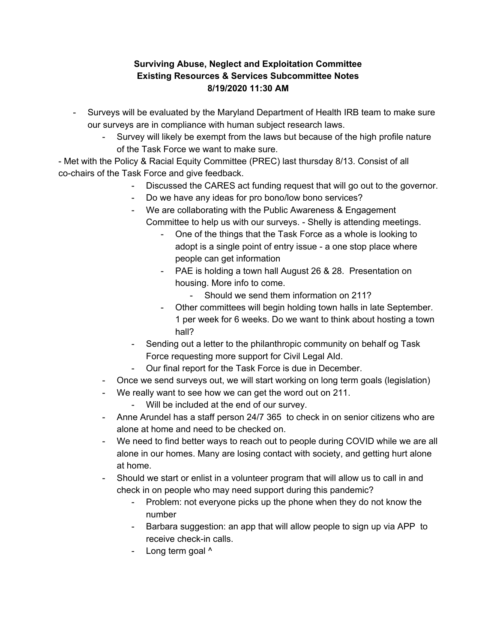## **Surviving Abuse, Neglect and Exploitation Committee Existing Resources & Services Subcommittee Notes 8/19/2020 11:30 AM**

- Surveys will be evaluated by the Maryland Department of Health IRB team to make sure our surveys are in compliance with human subject research laws.
	- Survey will likely be exempt from the laws but because of the high profile nature of the Task Force we want to make sure.

- Met with the Policy & Racial Equity Committee (PREC) last thursday 8/13. Consist of all co-chairs of the Task Force and give feedback.

- Discussed the CARES act funding request that will go out to the governor.
- Do we have any ideas for pro bono/low bono services?
- We are collaborating with the Public Awareness & Engagement Committee to help us with our surveys. - Shelly is attending meetings.
	- One of the things that the Task Force as a whole is looking to adopt is a single point of entry issue - a one stop place where people can get information
	- PAE is holding a town hall August 26 & 28. Presentation on housing. More info to come.
		- Should we send them information on 211?
	- Other committees will begin holding town halls in late September. 1 per week for 6 weeks. Do we want to think about hosting a town hall?
- Sending out a letter to the philanthropic community on behalf og Task Force requesting more support for Civil Legal AId.
- Our final report for the Task Force is due in December.
- Once we send surveys out, we will start working on long term goals (legislation)
- We really want to see how we can get the word out on 211.
	- Will be included at the end of our survey.
- Anne Arundel has a staff person 24/7 365 to check in on senior citizens who are alone at home and need to be checked on.
- We need to find better ways to reach out to people during COVID while we are all alone in our homes. Many are losing contact with society, and getting hurt alone at home.
- Should we start or enlist in a volunteer program that will allow us to call in and check in on people who may need support during this pandemic?
	- Problem: not everyone picks up the phone when they do not know the number
	- Barbara suggestion: an app that will allow people to sign up via APP to receive check-in calls.
	- Long term goal ^